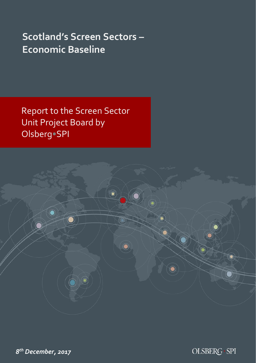# **Scotland's Screen Sectors – Economic Baseline**

Report to the Screen Sector Unit Project Board by Olsberg•SPI





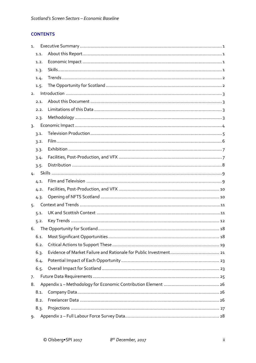# **CONTENTS**

| 1.   |  |
|------|--|
| 1.1. |  |
| 1.2. |  |
| 1.3. |  |
| 1.4. |  |
| 1.5. |  |
| 2.   |  |
| 2.1. |  |
| 2.2. |  |
| 2.3. |  |
| 3.   |  |
| 3.1. |  |
| 3.2. |  |
| 3.3. |  |
| 3.4. |  |
| 3.5. |  |
| 4.   |  |
| 4.1. |  |
| 4.2. |  |
| 4.3. |  |
| 5.   |  |
| 5.1. |  |
| 5.2. |  |
| 6.   |  |
|      |  |
| 6.2. |  |
| 6.3. |  |
| 6.4. |  |
| 6.5. |  |
| 7.   |  |
| 8.   |  |
| 8.1. |  |
| 8.2. |  |
| 8.3. |  |
| 9.   |  |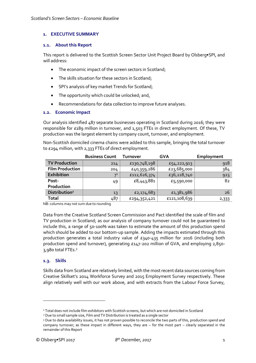#### <span id="page-2-0"></span>**1. EXECUTIVE SUMMARY**

#### <span id="page-2-1"></span>**1.1. About this Report**

This report is delivered to the Scottish Screen Sector Unit Project Board by Olsberg•SPI, and will address:

- The economic impact of the screen sectors in Scotland;
- The skills situation for these sectors in Scotland;
- SPI's analysis of key market Trends for Scotland;
- The opportunity which could be unlocked; and,
- Recommendations for data collection to improve future analyses.

#### <span id="page-2-2"></span>**1.2. Economic Impact**

Our analysis identified 487 separate businesses operating in Scotland during 2016; they were responsible for £189 million in turnover, and 1,503 FTEs in direct employment. Of these, TV production was the largest element by company count, turnover, and employment.

Non-Scottish domiciled cinema chains were added to this sample, bringing the total turnover to £294 million, with 2,333 FTEs of direct employment.

|                           | <b>Business Count</b> | <b>Turnover</b> | GVA          | Employment |
|---------------------------|-----------------------|-----------------|--------------|------------|
| <b>TV Production</b>      | 214                   | £130,748,198    | £54,222,913  | 918        |
| <b>Film Production</b>    | 204                   | £40,359,286     | £23,685,000  | 384        |
| <b>Exhibition</b>         | 7 <sup>1</sup>        | £112,626,374    | £36,228,740  | 923        |
| Post-                     | 49                    | £8,443,881      | £5,590,000   | 82         |
| Production                |                       |                 |              |            |
| Distribution <sup>2</sup> | 13                    | £2,174,683      | £1,381,986   | 26         |
| <b>Total</b>              | 487                   | £294,352,421    | £121,108,639 | 2,333      |

NB: columns may not sum due to rounding

Data from the Creative Scotland Screen Commission and Pact identified the scale of film and TV production in Scotland; as our analysis of company turnover could not be guaranteed to include this, a range of 50-100% was taken to estimate the amount of this production spend which should be added to our bottom-up sample. Adding the impacts estimated through this production generates a total industry value of £340-435 million for 2016 (including both production spend and turnover), generating £147-202 million of GVA, and employing 2,850- 3,980 total FTEs.<sup>3</sup>

#### <span id="page-2-3"></span>**1.3. Skills**

<u>.</u>

Skills data from Scotland are relatively limited, with the most recent data sources coming from Creative Skillset's 2014 Workforce Survey and 2015 Employment Survey respectively. These align relatively well with our work above, and with extracts from the Labour Force Survey,

<sup>1</sup> Total does not include film exhibitors with Scottish screens, but which are not domiciled in Scotland

<sup>2</sup> Due to small sample size, Film and TV Distribution is treated as a single sector

<sup>3</sup> Due to data availability issues, it has not proven possible to reconcile the two parts of this, production spend and company turnover; as these impact in different ways, they are – for the most part – clearly separated in the remainder of this Report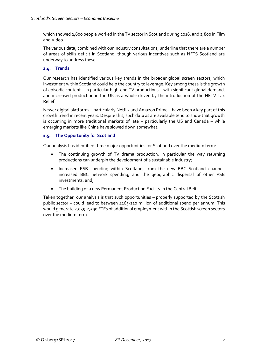which showed 2,600 people worked in the TV sector in Scotland during 2016, and 2,800 in Film and Video.

The various data, combined with our industry consultations, underline that there are a number of areas of skills deficit in Scotland, though various incentives such as NFTS Scotland are underway to address these.

# <span id="page-3-0"></span>**1.4. Trends**

Our research has identified various key trends in the broader global screen sectors, which investment within Scotland could help the country to leverage. Key among these is the growth of episodic content – in particular high-end TV productions – with significant global demand, and increased production in the UK as a whole driven by the introduction of the HETV Tax Relief.

Newer digital platforms – particularly Netflix and Amazon Prime – have been a key part of this growth trend in recent years. Despite this, such data as are available tend to show that growth is occurring in more traditional markets of late – particularly the US and Canada – while emerging markets like China have slowed down somewhat.

# <span id="page-3-1"></span>**1.5. The Opportunity for Scotland**

Our analysis has identified three major opportunities for Scotland over the medium term:

- The continuing growth of TV drama production, in particular the way returning productions can underpin the development of a sustainable industry;
- Increased PSB spending within Scotland, from the new BBC Scotland channel, increased BBC network spending, and the geographic dispersal of other PSB investments; and,
- The building of a new Permanent Production Facility in the Central Belt.

Taken together, our analysis is that such opportunities – properly supported by the Scottish public sector – could lead to between  $£165-210$  million of additional spend per annum. This would generate 2,035-2,590 FTEs of additional employment within the Scottish screen sectors over the medium term.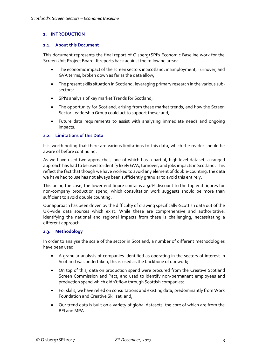#### <span id="page-4-0"></span>**2. INTRODUCTION**

#### <span id="page-4-1"></span>**2.1. About this Document**

This document represents the final report of Olsberg•SPI's Economic Baseline work for the Screen Unit Project Board. It reports back against the following areas:

- The economic impact of the screen sectors in Scotland, in Employment, Turnover, and GVA terms, broken down as far as the data allow;
- The present skills situation in Scotland, leveraging primary research in the various subsectors;
- SPI's analysis of key market Trends for Scotland;
- The opportunity for Scotland, arising from these market trends, and how the Screen Sector Leadership Group could act to support these; and,
- Future data requirements to assist with analysing immediate needs and ongoing impacts.

#### <span id="page-4-2"></span>**2.2. Limitations of this Data**

It is worth noting that there are various limitations to this data, which the reader should be aware of before continuing.

As we have used two approaches, one of which has a partial, high-level dataset, a ranged approach has had to be used to identify likely GVA, turnover, and jobs impacts in Scotland. This reflect the fact that though we have worked to avoid any element of double-counting, the data we have had to use has not always been sufficiently granular to avoid this entirely.

This being the case, the lower end figure contains a 50% discount to the top end figures for non-company production spend, which consultation work suggests should be more than sufficient to avoid double counting.

Our approach has been driven by the difficulty of drawing specifically-Scottish data out of the UK-wide data sources which exist. While these are comprehensive and authoritative, identifying the national and regional impacts from these is challenging, necessitating a different approach.

#### <span id="page-4-3"></span>**2.3. Methodology**

In order to analyse the scale of the sector in Scotland, a number of different methodologies have been used:

- A granular analysis of companies identified as operating in the sectors of interest in Scotland was undertaken, this is used as the backbone of our work;
- On top of this, data on production spend were procured from the Creative Scotland Screen Commission and Pact, and used to identify non-permanent employees and production spend which didn't flow through Scottish companies;
- For skills, we have relied on consultations and existing data, predominantly from Work Foundation and Creative Skillset; and,
- Our trend data is built on a variety of global datasets, the core of which are from the BFI and MPA.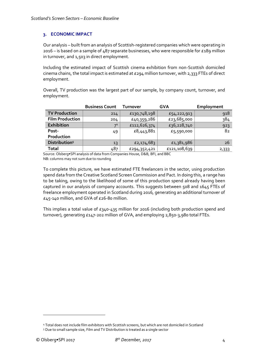## <span id="page-5-0"></span>**3. ECONOMIC IMPACT**

Our analysis – built from an analysis of Scottish-registered companies which were operating in 2016 – is based on a sample of  $\mu$ 87 separate businesses, who were responsible for £189 million in turnover, and 1,503 in direct employment.

Including the estimated impact of Scottish cinema exhibition from non-Scottish domiciled cinema chains, the total impact is estimated at £294 million turnover, with 2,333 FTEs of direct employment.

Overall, TV production was the largest part of our sample, by company count, turnover, and employment.

|                           | <b>Business Count</b> | Turnover     | GVA          | Employment |
|---------------------------|-----------------------|--------------|--------------|------------|
| <b>TV Production</b>      | 214                   | £130,748,198 | £54,222,913  | 918        |
| <b>Film Production</b>    | 204                   | £40,359,286  | £23,685,000  | 384        |
| Exhibition                | 7 <sup>4</sup>        | £112,626,374 | £36,228,740  | 923        |
| Post-                     | 49                    | £8,443,881   | £5,590,000   | 82         |
| Production                |                       |              |              |            |
| Distribution <sup>5</sup> | 13                    | £2,174,683   | £1,381,986   | 26         |
| Total                     | 487                   | £294,352,421 | £121,108,639 | 2,333      |

Source: Olsberg•SPI analysis of data from Companies House, D&B, BFI, and BBC NB: columns may not sum due to rounding

To complete this picture, we have estimated FTE freelancers in the sector, using production spend data from the Creative Scotland Screen Commission and Pact. In doing this, a range has to be taking, owing to the likelihood of some of this production spend already having been captured in our analysis of company accounts. This suggests between 508 and 1645 FTEs of freelance employment operated in Scotland during 2016, generating an additional turnover of £45-140 million, and GVA of £26-80 million.

This implies a total value of £340-435 million for 2016 (including both production spend and turnover), generating £147-202 million of GVA, and employing 2,850-3,980 total FTEs.

<sup>4</sup> Total does not include film exhibitors with Scottish screens, but which are not domiciled in Scotland

<sup>5</sup> Due to small sample size, Film and TV Distribution is treated as a single sector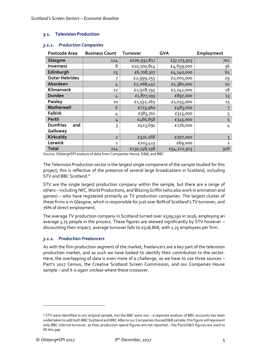## <span id="page-6-0"></span>**3.1. Television Production**

#### *3.1.1. Production Companies*

| Postcode Area          | <b>Business Count</b> | <b>Turnover</b> | <b>GVA</b>  | Employment     |  |
|------------------------|-----------------------|-----------------|-------------|----------------|--|
| Glasgow                | 124                   | £100,931,817    | £37,173,913 | 701            |  |
| <b>Inverness</b>       | 8                     | £10,100,814     | £4,659,000  | 36             |  |
| Edinburgh              | 25                    | £6,708,307      | £4,140,000  | 61             |  |
| <b>Outer Hebrides</b>  | 7                     | £2,999,255      | £2,001,000  | 29             |  |
| Aberdeen               | 4                     | £2,068,451      | £1,380,000  | 20             |  |
| Kilmarnock             | 12                    | £1,928,195      | £1,242,000  | 18             |  |
| <b>Dundee</b>          | 4                     | £1,877,193      | £897,000    | 13             |  |
| <b>Paisley</b>         | 10                    | £1,532,265      | £1,035,000  | 15             |  |
| Motherwell             | 6                     | £723,960        | £483,000    | $\overline{7}$ |  |
| <b>Falkirk</b>         | 4                     | £583,701        | £315,000    | 5              |  |
| Perth                  | 4                     | £466,858        | £345,000    | 5              |  |
| <b>Dumfries</b><br>and | 3                     | £413,691        | £276,000    | 4              |  |
| Galloway               |                       |                 |             |                |  |
| <b>Kirkcaldy</b>       | $\overline{2}$        | £310,268        | £207,000    | 3              |  |
| Lerwick                | $\mathbf{1}$          | £103,423        | £69,000     | $\mathbf{1}$   |  |
| <b>Total</b>           | 214                   | £130,748,198    | £54,222,913 | 918            |  |

Source: Olsberg•SPI analysis of data from Companies House, D&B, and BBC

The Television Production sector is the largest single component of the sample studied for this project; this is reflective of the presence of several large broadcasters in Scotland, including STV and BBC Scotland.<sup>6</sup>

STV are the single largest production company within the sample, but there are a range of others – including IWC, World Productions, and Blazing Griffin (who also work in animation and games) – who have registered primarily as TV production companies. The largest cluster of these firms is in Glasgow, which is responsible for just over 80% of Scotland's TV turnover, and 76% of direct employment.

The average TV production company in Scotland turned over £509,190 in 2016, employing an average 3.75 people in the process. These figures are skewed significantly by STV however – discounting their impact, average turnover falls to £328,868, with 2.75 employees per firm.

# *3.1.2. Production Freelancers*

As with the film production segment of the market, freelancers are a key part of the television production market, and as such we have looked to identify their contribution to the sector. Here, the overlapping of data is even more of a challenge, as we have to use three sources – Pact's 2017 Census, the Creative Scotland Screen Commission, and our Companies House sample – and it is again unclear where these crossover.

<sup>6</sup> STV were identified in our original sample, but the BBC were not – a separate analysis of BBC accounts has been undertaken to add both BBC Scotland and BBC Alba to our Companies House/D&B sample; this figure will represent only BBC internal turnover, as their production spend figures are not reported – the Pact/O&O figures are used to fill this gap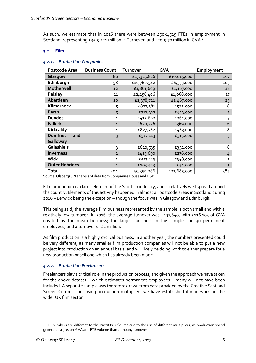As such, we estimate that in 2016 there were between 450-1,525 FTEs in employment in Scotland, representing £35.5-121 million in Turnover, and £20.5-70 million in GVA.<sup>7</sup>

#### <span id="page-7-0"></span>**3.2. Film**

#### *3.2.1. Production Companies*

| Postcode Area          | <b>Business Count</b> | Turnover    | <b>GVA</b>  | Employment     |
|------------------------|-----------------------|-------------|-------------|----------------|
| Glasgow                | 80                    | £17,325,816 | £10,015,000 | 167            |
| Edinburgh              | 58                    | £10,760,542 | £6,533,000  | 105            |
| Motherwell             | 12                    | £1,861,609  | £1,167,000  | 18             |
| <b>Paisley</b>         | 11                    | £2,458,406  | £1,068,000  | 17             |
| Aberdeen               | 10                    | £2,378,721  | £1,467,000  | 23             |
| Kilmarnock             | 5                     | £827,381    | £522,000    | 8              |
| Perth                  | 5                     | £713,327    | £453,000    | $\overline{7}$ |
| <b>Dundee</b>          | 4                     | £413,692    | £261,000    | 4              |
| <b>Falkirk</b>         | 4                     | £620,536    | £369,000    | 6              |
| Kirkcaldy              | 4                     | £827,382    | £483,000    | 8              |
| <b>Dumfries</b><br>and | 3                     | £517,113    | £315,000    | 5              |
| Galloway               |                       |             |             |                |
| Galashiels             | 3                     | £620,535    | £354,000    | 6              |
| <b>Inverness</b>       | $\overline{2}$        | £413,690    | £276,000    | 4              |
| <b>Wick</b>            | $\overline{2}$        | £517,113    | £348,000    | 5              |
| <b>Outer Hebrides</b>  | $\mathbf{1}$          | £103,423    | £54,000     | $\mathbf{1}$   |
| Total                  | 204                   | £40,359,286 | £23,685,000 | 384            |

Source: Olsberg•SPI analysis of data from Companies House and D&B

Film production is a large element of the Scottish industry, and is relatively well spread around the country. Elements of this activity happened in almost all postcode areas in Scotland during 2016 – Lerwick being the exception – though the focus was in Glasgow and Edinburgh.

This being said, the average film business represented by the sample is both small and with a relatively low turnover. In 2016, the average turnover was £197,840, with £116,103 of GVA created by the mean business; the largest business in the sample had 30 permanent employees, and a turnover of £2 million.

As film production is a highly cyclical business, in another year, the numbers presented could be very different, as many smaller film production companies will not be able to put a new project into production on an annual basis, and will likely be doing work to either prepare for a new production or sell one which has already been made.

#### *3.2.2. Production Freelancers*

Freelancers play a critical role in the production process, and given the approach we have taken for the above dataset – which estimates permanent employees – many will not have been included. A separate sample was therefore drawn from data provided by the Creative Scotland Screen Commission, using production multipliers we have established during work on the wider UK film sector.

<sup>7</sup> FTE numbers are different to the Pact/O&O figures due to the use of different multipliers, as production spend generates a greater GVA and FTE volume than company turnover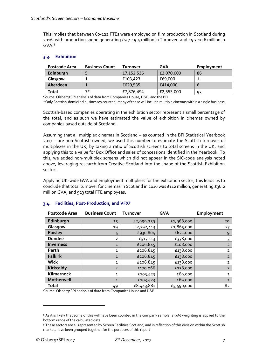This implies that between 60-122 FTEs were employed on film production in Scotland during 2016, with production spend generating £9.7-19.4 million in Turnover, and £5.3-10.6 million in GVA.<sup>8</sup>

#### <span id="page-8-0"></span>**3.3. Exhibition**

| <b>Postcode Area</b> | <b>Business Count</b> | Turnover   | <b>GVA</b> | Employment |
|----------------------|-----------------------|------------|------------|------------|
| Edinburgh            | 5                     | £7,152,536 | £2,070,000 | 86         |
| Glasgow              |                       | £103,423   | £69,000    |            |
| Aberdeen             | 1                     | £620,535   | £414,000   |            |
| Total                | $7*$                  | £7,876,494 | £2,553,000 | 93         |

Source: Olsberg•SPI analysis of data from Companies House, D&B, and the BFI

\*Only Scottish-domiciled businesses counted; many of these will include multiple cinemas within a single business

Scottish-based companies operating in the exhibition sector represent a small percentage of the total, and as such we have estimated the value of exhibition in cinemas owned by companies based outside of Scotland.

Assuming that all multiplex cinemas in Scotland – as counted in the BFI Statistical Yearbook 2017 – are non-Scottish owned, we used this number to estimate the Scottish turnover of multiplexes in the UK, by taking a ratio of Scottish screens to total screens in the UK, and applying this to a value for Box Office and sales of concessions identified in the Yearbook. To this, we added non-multiplex screens which did not appear in the SIC-code analysis noted above, leveraging research from Creative Scotland into the shape of the Scottish Exhibition sector.

Applying UK-wide GVA and employment multipliers for the exhibition sector, this leads us to conclude that total turnover for cinemas in Scotland in 2016 was £112 million, generating £36.2 million GVA, and 923 total FTE employees.

| Postcode Area    | <b>Business Count</b> | <b>Turnover</b> | <b>GVA</b> | Employment     |
|------------------|-----------------------|-----------------|------------|----------------|
| Edinburgh        | 15                    | £2,999,259      | £1,968,000 | 29             |
| Glasgow          | 19                    | £2,792,413      | £1,865,000 | 27             |
| <b>Paisley</b>   | 5                     | £930,804        | £621,000   | 9              |
| <b>Dundee</b>    | $\overline{2}$        | £517,113        | £338,000   | 5              |
| <b>Inverness</b> | $\mathbf{1}$          | £206,845        | £108,000   | 2              |
| Perth            | 1                     | £206,845        | £138,000   | $\overline{2}$ |
| <b>Falkirk</b>   | $\mathbf{1}$          | £206,845        | £138,000   | $\overline{2}$ |
| <b>Wick</b>      | 1                     | £206,845        | £138,000   | $\overline{2}$ |
| <b>Kirkcaldy</b> | $\overline{2}$        | £170,066        | £138,000   | $\overline{2}$ |
| Kilmarnock       | $\mathbf{1}$          | £103,423        | £69,000    | $\mathbf{1}$   |
| Motherwell       | $\mathbf{1}$          | £103,423        | £69,000    | $\mathbf{1}$   |
| <b>Total</b>     | 49                    | £8,443,881      | £5,590,000 | 82             |

## <span id="page-8-1"></span>**3.4. Facilities, Post-Production, and VFX<sup>9</sup>**

Source: Olsberg•SPI analysis of data from Companies House and D&B

<sup>8</sup> As it is likely that some of this will have been counted in the company sample, a 50% weighting is applied to the bottom range of the calculated data

<sup>9</sup> These sectors are all represented by Screen Facilities Scotland, and in reflection of this division within the Scottish market, have been grouped together for the purposes of this report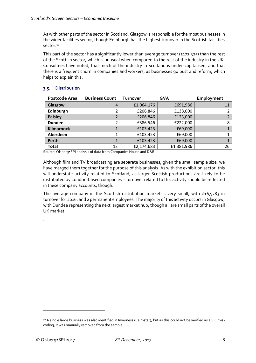As with other parts of the sector in Scotland, Glasgow is responsible for the most businesses in the wider facilities sector, though Edinburgh has the highest turnover in the Scottish facilities sector.<sup>10</sup>

This part of the sector has a significantly lower than average turnover (£172,325) than the rest of the Scottish sector, which is unusual when compared to the rest of the industry in the UK. Consultees have noted, that much of the industry in Scotland is under-capitalised, and that there is a frequent churn in companies and workers, as businesses go bust and reform, which helps to explain this.

# <span id="page-9-0"></span>**3.5. Distribution**

| Postcode Area     | <b>Business Count</b> | <b>Turnover</b> | GVA        | Employment     |
|-------------------|-----------------------|-----------------|------------|----------------|
| Glasgow           | 4                     | £1,064,176      | £691,986   | 11             |
| Edinburgh         |                       | £206,846        | £138,000   |                |
| <b>Paisley</b>    | 2                     | £206,846        | £123,000   | $\mathfrak{p}$ |
| <b>Dundee</b>     | 2                     | £386,546        | £222,000   | 8              |
| <b>Kilmarnock</b> |                       | £103,423        | £69,000    |                |
| Aberdeen          |                       | £103,423        | £69,000    |                |
| Perth             |                       | £103,423        | £69,000    |                |
| <b>Total</b>      | 13                    | £2,174,683      | £1,381,986 | 26             |

Source: Olsberg•SPI analysis of data from Companies House and D&B

Although film and TV broadcasting are separate businesses, given the small sample size, we have merged them together for the purpose of this analysis. As with the exhibition sector, this will understate activity related to Scotland, as larger Scottish productions are likely to be distributed by London-based companies – turnover related to this activity should be reflected in these company accounts, though.

The average company in the Scottish distribution market is very small, with  $£167,283$  in turnover for 2016, and 2 permanent employees. The majority of this activity occurs in Glasgow, with Dundee representing the next largest market hub, though all are small parts of the overall UK market.

.

<sup>10</sup> A single large business was also identified in Inverness (Cairnstar), but as this could not be verified as a SIC miscoding, it was manually removed from the sample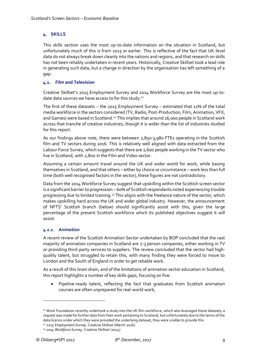## <span id="page-10-0"></span>**4. SKILLS**

This skills section uses the most up-to-date information on the situation in Scotland, but unfortunately much of this is from 2015 or earlier. This is reflective of the fact that UK-level data do not always break down cleanly into the nations and regions, and that research on skills has not been reliably undertaken in recent years. Historically, Creative Skillset took a lead role in generating such data, but a change in direction by the organisation has left something of a gap.

## <span id="page-10-1"></span>**4.1. Film and Television**

Creative Skillset's 2015 Employment Survey and 2014 Workforce Survey are the most up-todate data sources we have access to for this study.<sup>11</sup>

The first of these datasets – the 2015 Employment Survey – estimated that 11% of the total media workforce in the sectors considered (TV, Radio, Post-Production, Film, Animation, VFX, and Games) were based in Scotland.<sup>12</sup> This implies that around 16,000 people in Scotland work across that tranche of creative industries, though it is wider than the list of industries studied for this report.

As our findings above note, there were between 2,850-3,980 FTEs operating in the Scottish film and TV sectors during 2016. This is relatively well aligned with data extracted from the Labour Force Survey, which suggests that there are 2,600 people working in the TV sector who live in Scotland, with 2,800 in the Film and Video sector.

Assuming a certain amount travel around the UK and wider world for work, while basing themselves in Scotland, and that others – either by choice or circumstance – work less than full time (both well recognised factors in the sector), these figures are not contradictory.

Data from the 2014 Workforce Survey suggest that upskilling within the Scottish screen sector is a significant barrier to progression – 60% of Scottish respondents noted experiencing trouble progressing due to limited training.<sup>13</sup> This aligns with the freelance nature of the sector, which makes upskilling hard across the UK and wider global industry. However, the announcement of NFTS' Scottish branch (below) should significantly assist with this, given the large percentage of the present Scottish workforce which its published objectives suggest it will assist.

## *4.1.1. Animation*

A recent review of the Scottish Animation Sector undertaken by BOP concluded that the vast majority of animation companies in Scotland are 2-3 person companies, either working in TV or providing third-party services to suppliers. The review concluded that the sector had highquality talent, but struggled to retain this, with many finding they were forced to move to London and the South of England in order to get reliable work.

As a result of this brain drain, and of the limitations of animation sector education in Scotland, this report highlights a number of key skills gaps, focusing on five:

• Pipeline-ready talent, reflecting the fact that graduates from Scottish animation courses are often unprepared for real-world work;

<sup>11</sup> Work Foundation recently undertook a study into the UK film workforce, which also leveraged these datasets; a request was made for further data from their work pertaining to Scotland, but unfortunately due to the terms of the data licence under which they were provided the underlying dataset, they were unable to provide this <sup>12</sup> *2015 Employment Survey*, Creative Skillset (March 2016)

<sup>13</sup> *2014 Workforce Survey*, Creative Skillset (2014)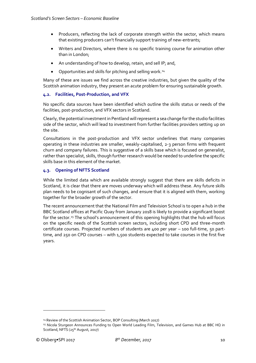- Producers, reflecting the lack of corporate strength within the sector, which means that existing producers can't financially support training of new-entrants;
- Writers and Directors, where there is no specific training course for animation other than in London;
- An understanding of how to develop, retain, and sell IP; and,
- Opportunities and skills for pitching and selling work.<sup>14</sup>

Many of these are issues we find across the creative industries, but given the quality of the Scottish animation industry, they present an acute problem for ensuring sustainable growth.

## <span id="page-11-0"></span>**4.2. Facilities, Post-Production, and VFX**

No specific data sources have been identified which outline the skills status or needs of the facilities, post-production, and VFX sectors in Scotland.

Clearly, the potential investment in Pentland will represent a sea change for the studio facilities side of the sector, which will lead to investment from further facilities providers setting up on the site.

Consultations in the post-production and VFX sector underlines that many companies operating in these industries are smaller, weakly-capitalised, 2-3 person firms with frequent churn and company failures. This is suggestive of a skills base which is focused on generalist, rather than specialist, skills, though further research would be needed to underline the specific skills base in this element of the market.

## <span id="page-11-1"></span>**4.3. Opening of NFTS Scotland**

While the limited data which are available strongly suggest that there are skills deficits in Scotland, it is clear that there are moves underway which will address these. Any future skills plan needs to be cognisant of such changes, and ensure that it is aligned with them, working together for the broader growth of the sector.

The recent announcement that the National Film and Television School is to open a hub in the BBC Scotland offices at Pacific Quay from January 2018 is likely to provide a significant boost for the sector.<sup>15</sup> The school's announcement of this opening highlights that the hub will focus on the specific needs of the Scottish screen sectors, including short CPD and three-month certificate courses. Projected numbers of students are 400 per year – 100 full-time, 50 parttime, and 250 on CPD courses – with 1,500 students expected to take courses in the first five years.

<sup>14</sup> Review of the Scottish Animation Sector, BOP Consulting (March 2017)

<sup>15</sup> Nicola Sturgeon Announces Funding to Open World Leading Film, Television, and Games Hub at BBC HQ in Scotland, NFTS (25<sup>th</sup> August, 2017)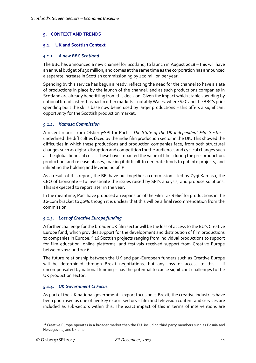## <span id="page-12-0"></span>**5. CONTEXT AND TRENDS**

#### <span id="page-12-1"></span>**5.1. UK and Scottish Context**

#### *5.1.1. A new BBC Scotland*

The BBC has announced a new channel for Scotland, to launch in August 2018 – this will have an annual budget of  $E_3$ o million, and comes at the same time as the corporation has announced a separate increase in Scottish commissioning by £20 million per year.

Spending by this service has begun already, reflecting the need for the channel to have a slate of productions in place by the launch of the channel, and as such productions companies in Scotland are already benefitting from this decision. Given the impact which stable spending by national broadcasters has had in other markets – notably Wales, where S4C and the BBC's prior spending built the skills base now being used by larger productions – this offers a significant opportunity for the Scottish production market.

## *5.1.2. Kamasa Commission*

A recent report from Olsberg•SPI for Pact – *The State of the UK Independent Film Sector* – underlined the difficulties faced by the indie film production sector in the UK. This showed the difficulties in which these productions and production companies face, from both structural changes such as digital disruption and competition for the audience, and cyclical changes such as the global financial crisis. These have impacted the value of films during the pre-production, production, and release phases, making it difficult to generate funds to put into projects, and inhibiting the holding and leveraging of IP.

As a result of this report, the BFI have put together a commission – led by Zygi Kamasa, the CEO of Lionsgate – to investigate the issues raised by SPI's analysis, and propose solutions. This is expected to report later in the year.

In the meantime, Pact have proposed an expansion of the Film Tax Relief for productions in the £2-10m bracket to 40%, though it is unclear that this will be a final recommendation from the commission.

## *5.1.3. Loss of Creative Europe funding*

A further challenge for the broader UK film sector will be the loss of access to the EU's Creative Europe fund, which provides support for the development and distribution of film productions to companies in Europe.<sup>16</sup> 16 Scottish projects ranging from individual productions to support for film education, online platforms, and festivals received support from Creative Europe between 2014 and 2016.

The future relationship between the UK and pan-European funders such as Creative Europe will be determined through Brexit negotiations, but any loss of access to this – if uncompensated by national funding – has the potential to cause significant challenges to the UK production sector.

## *5.1.4. UK Government CI Focus*

As part of the UK national government's export focus post-Brexit, the creative industries have been prioritised as one of five key export sectors – film and television content and services are included as sub-sectors within this. The exact impact of this in terms of interventions are

<sup>&</sup>lt;sup>16</sup> Creative Europe operates in a broader market than the EU, including third party members such as Bosnia and Herzegovina, and Ukraine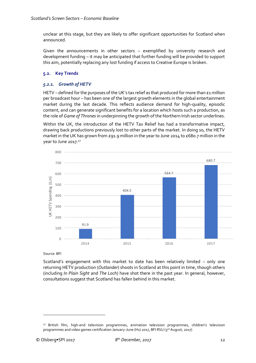unclear at this stage, but they are likely to offer significant opportunities for Scotland when announced.

Given the announcements in other sectors – exemplified by university research and development funding – it may be anticipated that further funding will be provided to support this aim, potentially replacing any lost funding if access to Creative Europe is broken.

## <span id="page-13-0"></span>**5.2. Key Trends**

#### *5.2.1. Growth of HETV*

HETV – defined for the purposes of the UK's tax relief as that produced for more than  $\epsilon_1$  million per broadcast hour – has been one of the largest growth elements in the global entertainment market during the last decade. This reflects audience demand for high-quality, episodic content, and can generate significant benefits for a location which hosts such a production, as the role of *Game of Thrones* in underpinning the growth of the Northern Irish sector underlines.

Within the UK, the introduction of the HETV Tax Relief has had a transformative impact, drawing back productions previously lost to other parts of the market. In doing so, the HETV market in the UK has grown from £91.9 million in the year to June 2014 to £680.7 million in the year to June 2017.<sup>17</sup>



#### Source: BFI

Scotland's engagement with this market to date has been relatively limited – only one returning HETV production (*Outlander*) shoots in Scotland at this point in time, though others (including *In Plain Sight* and *The Loch*) have shot there in the past year. In general, however, consultations suggest that Scotland has fallen behind in this market.

<sup>17</sup> British film, high-end television programmes, animation television programmes, children's television programmes and video games certification January-June (H1) 2017, BFI RSU (3rd August, 2017)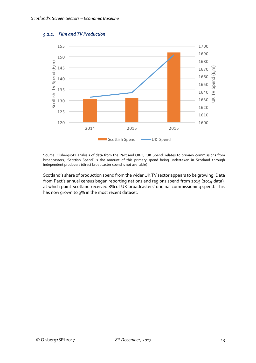



Source: Olsberg•SPI analysis of data from the Pact and O&O; 'UK Spend' relates to primary commissions from broadcasters, 'Scottish Spend' is the amount of this primary spend being undertaken in Scotland through independent producers (direct broadcaster spend is not available)

Scotland's share of production spend from the wider UK TV sector appears to be growing. Data from Pact's annual census began reporting nations and regions spend from 2015 (2014 data), at which point Scotland received 8% of UK broadcasters' original commissioning spend. This has now grown to 9% in the most recent dataset.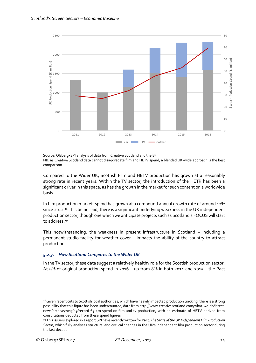

Source: Olsberg•SPI analysis of data from Creative Scotland and the BFI NB: as Creative Scotland data cannot disaggregate film and HETV spend, a blended UK-wide approach is the best comparison

Compared to the Wider UK, Scottish Film and HETV production has grown at a reasonably strong rate in recent years. Within the TV sector, the introduction of the HETR has been a significant driver in this space, as has the growth in the market for such content on a worldwide basis.

In film production market, spend has grown at a compound annual growth rate of around 12% since 2012.<sup>18</sup> This being said, there is a significant underlying weakness in the UK independent production sector, though one which we anticipate projects such as Scotland's FOCUS will start to address. 19

This notwithstanding, the weakness in present infrastructure in Scotland – including a permanent studio facility for weather cover – impacts the ability of the country to attract production.

## *5.2.3. How Scotland Compares to the Wider UK*

In the TV sector, these data suggest a relatively healthy role for the Scottish production sector. At 9% of original production spend in 2016 – up from 8% in both 2014 and 2015 – the Pact

<sup>&</sup>lt;sup>18</sup> Given recent cuts to Scottish local authorities, which have heavily impacted production tracking, there is a strong possibility that this figure has been undercounted; data from http://www.creativescotland.com/what-we-do/latestnews/archive/2017/09/record-69-4m-spend-on-film-and-tv-production, with an estimate of HETV derived from consultations deducted from these spend figures

<sup>19</sup> This issue is explored in a report SPI have recently written for Pact, *The State of the UK Independent Film Production Sector*, which fully analyses structural and cyclical changes in the UK's independent film production sector during the last decade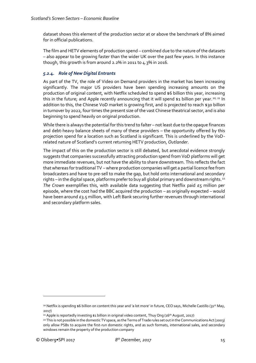dataset shows this element of the production sector at or above the benchmark of 8% aimed for in official publications.

The film and HETV elements of production spend – combined due to the nature of the datasets – also appear to be growing faster than the wider UK over the past few years. In this instance though, this growth is from around 2.2% in 2011 to 4.3% in 2016.

# *5.2.4. Role of New Digital Entrants*

As part of the TV, the role of Video on Demand providers in the market has been increasing significantly. The major US providers have been spending increasing amounts on the production of original content, with Netflix scheduled to spend \$6 billion this year, increasing this in the future; and Apple recently announcing that it will spend  $$1$  billion per year.<sup>20, 21</sup> In addition to this, the Chinese VoD market is growing first, and is projected to reach \$30 billion in turnover by 2022, four times the present size of the vast Chinese theatrical sector, and is also beginning to spend heavily on original production.

While there is always the potential for this trend to falter – not least due to the opaque finances and debt-heavy balance sheets of many of these providers – the opportunity offered by this projection spend for a location such as Scotland is significant. This is underlined by the VoDrelated nature of Scotland's current returning HETV production, *Outlander*.

The impact of this on the production sector is still debated, but anecdotal evidence strongly suggests that companies successfully attracting production spend from VoD platforms will get more immediate revenues, but not have the ability to share downstream. This reflects the fact that whereas for traditional TV – where production companies will get a partial licence fee from broadcasters and have to pre-sell to make the gap, but hold onto international and secondary rights – in the digital space, platforms prefer to buy all global primary and downstream rights.<sup>22</sup> *The Crown* exemplifies this, with available data suggesting that Netflix paid £5 million per episode, where the cost had the BBC acquired the production – as originally expected – would have been around  $\epsilon_3$ , 5 million, with Left Bank securing further revenues through international and secondary platform sales.

<sup>&</sup>lt;sup>20</sup> Netflix is spending \$6 billion on content this year and 'a lot more' in future, CEO says, Michelle Castillo (31st May, 2017)

<sup>&</sup>lt;sup>21</sup> Apple is reportedly investing \$1 billion in original video content, Thuy Ong (16<sup>th</sup> August, 2017)

<sup>22</sup>This is not possible in the domestic TV space, as the Terms of Trade rules set out in the Communications Act (2003) only allow PSBs to acquire the first-run domestic rights, and as such formats, international sales, and secondary windows remain the property of the production company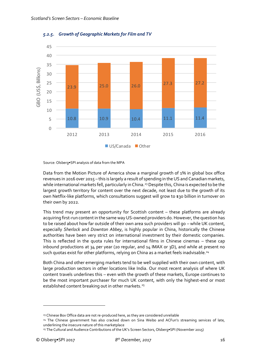

#### *5.2.5. Growth of Geographic Markets for Film and TV*

Source: Olsberg•SPI analysis of data from the MPA

Data from the Motion Picture of America show a marginal growth of 1% in global box office revenues in 2016 over 2015 – this is largely a result of spending in the US and Canadian markets, while international markets fell, particularly in China.<sup>23</sup> Despite this, China is expected to be the largest growth territory for content over the next decade, not least due to the growth of its own Netflix-like platforms, which consultations suggest will grow to \$30 billion in turnover on their own by 2022.

This trend may present an opportunity for Scottish content – these platforms are already acquiring first-run content in the same way US-owned providers do. However, the question has to be raised about how far outside of their own area such providers will go – while UK content, especially *Sherlock* and *Downton Abbey*, is highly popular in China, historically the Chinese authorities have been very strict on international investment by their domestic companies. This is reflected in the quota rules for international films in Chinese cinemas – these cap inbound productions at 34 per year (20 regular, and  $14$  IMAX or 3D), and while at present no such quotas exist for other platforms, relying on China as a market feels inadvisable.<sup>24</sup>

Both China and other emerging markets tend to be well supplied with their own content, with large production sectors in other locations like India. Our most recent analysis of where UK content travels underlines this – even with the growth of these markets, Europe continues to be the most important purchaser for much UK content, with only the highest-end or most established content breaking out in other markets.<sup>25</sup>

<sup>&</sup>lt;sup>23</sup> Chinese Box Office data are not re-produced here, as they are considered unreliable

<sup>&</sup>lt;sup>24</sup> The Chinese government has also cracked down on Sina Weibo and ACFun's streaming services of late, underlining the insecure nature of this marketplace

<sup>25</sup> The Cultural and Audience Contributions of the UK's Screen Sectors, Olsberg•SPI (November 2015)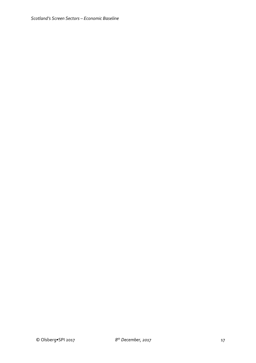*Scotland's Screen Sectors – Economic Baseline*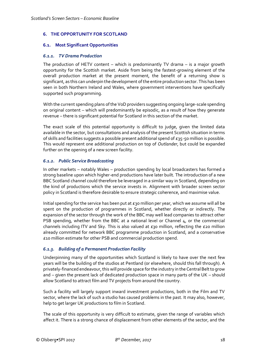# <span id="page-19-0"></span>**6. THE OPPORTUNITY FOR SCOTLAND**

#### <span id="page-19-1"></span>**6.1. Most Significant Opportunities**

#### *6.1.1. TV Drama Production*

The production of HETV content – which is predominantly TV drama – is a major growth opportunity for the Scottish market. Aside from being the fastest-growing element of the overall production market at the present moment, the benefit of a returning show is significant, as this can underpin the development of the entire production sector. This has been seen in both Northern Ireland and Wales, where government interventions have specifically supported such programming.

With the current spending plans of the VoD providers suggesting ongoing large-scale spending on original content – which will predominantly be episodic, as a result of how they generate revenue – there is significant potential for Scotland in this section of the market.

The exact scale of this potential opportunity is difficult to judge, given the limited data available in the sector, but consultations and analysis of the present Scottish situation in terms of skills and facilities suggests a possible present additional spend of  $\epsilon$ 35-50 million is possible. This would represent one additional production on top of *Outlander*, but could be expanded further on the opening of a new screen facility.

## *6.1.2. Public Service Broadcasting*

In other markets – notably Wales – production spending by local broadcasters has formed a strong baseline upon which higher-end productions have later built. The introduction of a new BBC Scotland channel could therefore be leveraged in a similar way in Scotland, depending on the kind of productions which the service invests in. Alignment with broader screen sector policy in Scotland is therefore desirable to ensure strategic coherence, and maximise value.

Initial spending for the service has been put at  $\epsilon$ 30 million per year, which we assume will all be spent on the production of programmes in Scotland, whether directly or indirectly. The expansion of the sector through the work of the BBC may well lead companies to attract other PSB spending, whether from the BBC at a national level or Channel 4, or the commercial channels including ITV and Sky. This is also valued at  $\epsilon$ 30 million, reflecting the  $\epsilon$ 20 million already committed for network BBC programme production in Scotland, and a conservative £10 million estimate for other PSB and commercial production spend.

## *6.1.3. Building of a Permanent Production Facility*

Underpinning many of the opportunities which Scotland is likely to have over the next few years will be the building of the studios at Pentland (or elsewhere, should this fall through). A privately-financed endeavour, this will provide space for the industry in the Central Belt to grow and – given the present lack of dedicated production space in many parts of the UK – should allow Scotland to attract film and TV projects from around the country.

Such a facility will largely support inward investment productions, both in the Film and TV sector, where the lack of such a studio has caused problems in the past. It may also, however, help to get larger UK productions to film in Scotland.

The scale of this opportunity is very difficult to estimate, given the range of variables which affect it. There is a strong chance of displacement from other elements of the sector, and the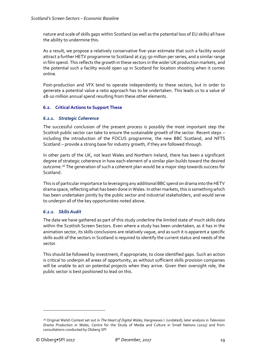nature and scale of skills gaps within Scotland (as well as the potential loss of EU skills) all have the ability to undermine this.

As a result, we propose a relatively conservative five-year estimate that such a facility would attract a further HETV programme to Scotland at £35-50 million per series, and a similar range in film spend. This reflects the growth in these sectors in the wider UK production markets, and the potential such a facility would open up in Scotland for location shooting when it comes online.

Post-production and VFX tend to operate independently to these sectors, but in order to generate a potential value a ratio approach has to be undertaken. This leads us to a value of £8-10 million annual spend resulting from these other elements.

## <span id="page-20-0"></span>**6.2. Critical Actions to Support These**

#### *6.2.1. Strategic Coherence*

The successful conclusion of the present process is possibly the most important step the Scottish public sector can take to ensure the sustainable growth of the sector. Recent steps – including the introduction of the FOCUS programme, the new BBC Scotland, and NFTS Scotland – provide a strong base for industry growth, if they are followed through.

In other parts of the UK, not least Wales and Northern Ireland, there has been a significant degree of strategic coherence in how each element of a similar plan builds toward the desired outcome.<sup>26</sup> The generation of such a coherent plan would be a major step towards success for Scotland.

This is of particular importance to leveraging any additional BBC spend on drama into the HETV drama space, reflecting what has been done in Wales. In other markets, this is something which has been undertaken jointly by the public sector and industrial stakeholders, and would serve to underpin all of the key opportunities noted above.

#### *6.2.2. Skills Audit*

The data we have gathered as part of this study underline the limited state of much skills data within the Scottish Screen Sectors. Even where a study has been undertaken, as it has in the animation sector, its skills conclusions are relatively vague, and as such it is apparent a specific skills audit of the sectors in Scotland is required to identify the current status and needs of the sector.

This should be followed by investment, if appropriate, to close identified gaps. Such an action is critical to underpin all areas of opportunity, as without sufficient skills provision companies will be unable to act on potential projects when they arrive. Given their oversight role, the public sector is best positioned to lead on this.

<sup>26</sup> Original Welsh Context set out in *The Heart of Digital Wales*, Hargreaves I. (undated); later analysis in *Television Drama Production in Wales*, Centre for the Study of Media and Culture in Small Nations (2015) and from consultations conducted by Olsberg SPI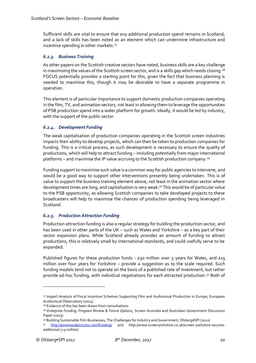Sufficient skills are vital to ensure that any additional production spend remains in Scotland, and a lack of skills has been noted as an element which can undermine infrastructure and incentive spending in other markets.<sup>27</sup>

## *6.2.3. Business Training*

As other papers on the Scottish creative sectors have noted, business skills are a key challenge in maximising the values of the Scottish screen sector, and is a skills gap which needs closing.<sup>28</sup> FOCUS potentially provides a starting point for this, given the fact that business planning is needed to maximise this, though it may be desirable to have a separate programme in operation.

This element is of particular importance to support domestic production companies operating in the film, TV, and animation sectors, not least in allowing them to leverage the opportunities of PSB production spend into a wider platform for growth. Ideally, it would be led by industry, with the support of the public sector.

# *6.2.4. Development Funding*

The weak capitalisation of production companies operating in the Scottish screen industries impacts their ability to develop projects, which can then be taken to production companies for funding. This is a critical process, as such development is necessary to ensure the quality of productions, which will help to attract funding – including potentially from major international platforms – and maximise the IP value accruing to the Scottish production company.<sup>29</sup>

Funding support to maximise such value is a common way for public agencies to intervene, and would be a good way to support other interventions presently being undertaken. This is of value to support the business training element above, not least in the animation sector where development times are long, and capitalisation is very weak.<sup>30</sup> This would be of particular value to the PSB opportunity, as allowing Scottish companies to take developed projects to these broadcasters will help to maximise the chances of production spending being leveraged in Scotland.

## *6.2.5. Production Attraction Funding*

Production attraction funding is also a regular strategy for building the production sector, and has been used in other parts of the UK – such as Wales and Yorkshire – as a key part of their sector expansion plans. While Scotland already provides an amount of funding to attract productions, this is relatively small by international standards, and could usefully serve to be expanded.

Published figures for these production funds -  $E_3$ o million over 5 years for Wales, and  $E_1$ 5 million over four years for Yorkshire – provide a suggestion as to the scale required. Such funding models tend not to operate on the basis of a published rate of investment, but rather provide ad-hoc funding, with individual negotiations for each attracted production.<sup>31</sup> Both of

<sup>27</sup> Impact Analysis of Fiscal Incentive Schemes Supporting Film and Audiovisual Production in Europe, European Audiovisual Observatory (2014)

<sup>&</sup>lt;sup>28</sup> Evidence of this has been drawn from consultations

<sup>29</sup> *Enterprise Funding: Program Review & Future Options*, Screen Australia and Australian Government Discussion Paper (2013)

<sup>30</sup> Building Sustainable Film Businesses, The Challenges for Industry and Government, Olsberg•SPI (2012)

<sup>31</sup> <http://pinewoodpictures.com/funding/> and http://www.screenyorkshire.co.uk/screen-yorkshire-securesadditional-7-5-million/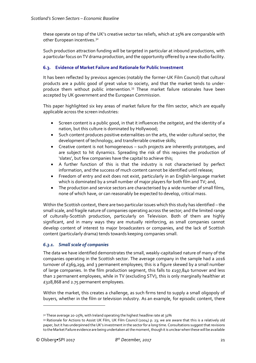these operate on top of the UK's creative sector tax reliefs, which at 25% are comparable with other European incentives.<sup>32</sup>

Such production attraction funding will be targeted in particular at inbound productions, with a particular focus on TV drama production, and the opportunity offered by a new studio facility.

# <span id="page-22-0"></span>**6.3. Evidence of Market Failure and Rationale for Public Investment**

It has been reflected by previous agencies (notably the former-UK Film Council) that cultural products are a public good of great value to society, and that the market tends to underproduce them without public intervention.<sup>33</sup> These market failure rationales have been accepted by UK government and the European Commission.

This paper highlighted six key areas of market failure for the film sector, which are equally applicable across the screen industries:

- Screen content is a public good, in that it influences the zeitgeist, and the identity of a nation, but this culture is dominated by Hollywood;
- Such content produces positive externalities on the arts, the wider cultural sector, the development of technology, and transferrable creative skills;
- Creative content is not homogeneous such projects are inherently prototypes, and are subject to hit dynamics. Spreading the risk of this requires the production of 'slates', but few companies have the capital to achieve this;
- A further function of this is that the industry is not characterised by perfect information, and the success of much content cannot be identified until release;
- Freedom of entry and exit does not exist, particularly in an English-language market which is dominated by a small number of major players for both film and TV; and,
- The production and service sectors are characterised by a wide number of small films, none of which have, or can reasonably be expected to develop, critical mass.

Within the Scottish context, there are two particular issues which this study has identified – the small scale, and fragile nature of companies operating across the sector; and the limited range of culturally-Scottish production, particularly on Television. Both of them are highly significant, and in many ways they are mutually reinforcing, as small companies cannot develop content of interest to major broadcasters or companies, and the lack of Scottish content (particularly drama) tends towards keeping companies small.

## *6.3.1. Small scale of companies*

The data we have identified demonstrates the small, weakly-capitalised nature of many of the companies operating in the Scottish sector. The average company in the sample had a 2016 turnover of £369,299, and 3 permanent employees; this is a figure skewed by a small number of large companies. In the film production segment, this falls to  $E_{197,840}$  turnover and less than 2 permanent employees, while in TV (excluding STV), this is only marginally healthier at £328,868 and 2.75 permanent employees.

Within the market, this creates a challenge, as such firms tend to supply a small oligopoly of buyers, whether in the film or television industry. As an example, for episodic content, there

<sup>32</sup> These average 20-25%, with Ireland operating the highest headline rate at 32%

<sup>33</sup> Rationale for Actions to Assist UK Film, UK Film Council (2004) p. 23; we are aware that this is a relatively old paper, but it has underpinned the UK's investment in the sector for a long time. Consultations suggest that revisions to the Market Failure evidence are being undertaken at the moment, though it is unclear when these will be available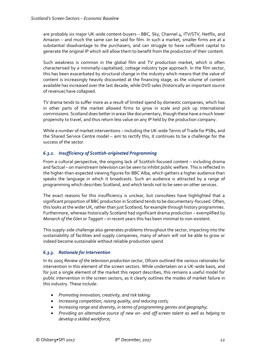are probably six major UK-wide content-buyers - BBC, Sky, Channel 4, ITV/STV, Netflix, and Amazon – and much the same can be said for film. In such a market, smaller firms are at a substantial disadvantage to the purchasers, and can struggle to have sufficient capital to generate the original IP which will allow them to benefit from the production of their content.

Such weakness is common in the global film and TV production market, which is often characterised by a minimally-capitalised, cottage industry type approach. In the film sector, this has been exacerbated by structural change in the industry which means that the value of content is increasingly heavily discounted at the financing stage, as the volume of content available has increased over the last decade, while DVD sales (historically an important source of revenue) have collapsed.

TV drama tends to suffer more as a result of limited spend by domestic companies, which has in other parts of the market allowed firms to grow in scale and pick up international commissions. Scotland does better in areas like documentary, though these have a much lower propensity to travel, and thus return less value on any IP held by the production company.

While a number of market interventions – including the UK-wide Terms of Trade for PSBs, and the Shared Service Centre model – aim to rectify this, it continues to be a challenge for the success of the sector.

# *6.3.2. Insufficiency of Scottish-originated Programming*

From a cultural perspective, the ongoing lack of Scottish-focused content – including drama and factual – on mainstream television can be seen to inhibit public welfare. This is reflected in the higher-than-expected viewing figures for BBC Alba, which gathers a higher audience than speaks the language in which it broadcasts. Such an audience is attracted by a range of programming which describes Scotland, and which tends not to be seen on other services.

The exact reasons for this insufficiency is unclear, but consultees have highlighted that a significant proportion of BBC production in Scotland tends to be documentary-focused. Often, this looks at the wider UK, rather than just Scotland, for example through history programmes. Furthermore, whereas historically Scotland had significant drama production – exemplified by *Monarch of the Glen* or *Taggart* – in recent years this has been minimal to non-existent.

This supply-side challenge also generates problems throughout the sector, impacting into the sustainability of facilities and supply companies, many of whom will not be able to grow or indeed become sustainable without reliable production spend.

## *6.3.3. Rationale for Intervention*

In its 2005 *Review of the television production sector*, Ofcom outlined the various rationales for intervention in this element of the screen sectors. While undertaken on a UK-wide basis, and for just a single element of the market this report describes, this remains a useful model for public intervention in the screen sectors, as it clearly outlines the modes of market failure in this industry. These include:

- *Promoting innovation, creativity, and risk taking;*
- *Increasing competition, raising quality, and reducing costs;*
- *Increasing range and diversity, in terms of programming genres and geography;*
- *Providing an alternative source of new on- and off-screen talent as well as helping to develop a skilled workforce;*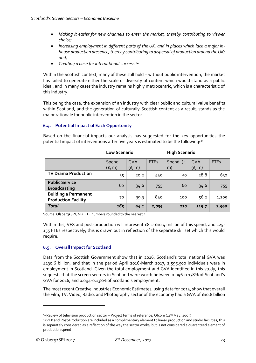- *Making it easier for new channels to enter the market, thereby contributing to viewer choice;*
- *Increasing employment in different parts of the UK, and in places which lack a major inhouse production presence, thereby contributing to dispersal of production around the UK; and,*
- *Creating a base for international success.<sup>34</sup>*

Within the Scottish context, many of these still hold – without public intervention, the market has failed to generate either the scale or diversity of content which would stand as a public ideal, and in many cases the industry remains highly metrocentric, which is a characteristic of this industry.

This being the case, the expansion of an industry with clear public and cultural value benefits within Scotland, and the generation of culturally-Scottish content as a result, stands as the major rationale for public intervention in the sector.

# <span id="page-24-0"></span>**6.4. Potential Impact of Each Opportunity**

|                                                           | <b>Low Scenario</b> |        |             | <b>High Scenario</b> |            |             |  |
|-----------------------------------------------------------|---------------------|--------|-------------|----------------------|------------|-------------|--|
|                                                           | <b>GVA</b><br>Spend |        | <b>FTEs</b> | Spend $(E,$          | <b>GVA</b> | <b>FTEs</b> |  |
|                                                           | (E, m)              | (E, m) |             | m)                   | (E, m)     |             |  |
| <b>TV Drama Production</b>                                | 35                  | 20.2   | 440         | 50                   | 28.8       | 630         |  |
| <b>Public Service</b><br><b>Broadcasting</b>              | 60                  | 34.6   | 755         | 60                   | 34.6       | 755         |  |
| <b>Building a Permanent</b><br><b>Production Facility</b> | 70                  | 39.3   | 840         | 100                  | 56.2       | 1,205       |  |
| Total                                                     | 165                 | 94.1   | 2,035       | 210                  | 119.7      | 2,590       |  |

Based on the financial impacts our analysis has suggested for the key opportunities the potential impact of interventions after five years is estimated to be the following:<sup>35</sup>

Source: Olsberg•SPI; NB: FTE numbers rounded to the nearest 5

Within this, VFX and post-production will represent  $\epsilon$ 8.1- $\epsilon$ 10.4 million of this spend, and 125-155 FTEs respectively; this is drawn out in reflection of the separate skillset which this would require.

## <span id="page-24-1"></span>**6.5. Overall Impact for Scotland**

Data from the Scottish Government show that in 2016, Scotland's total national GVA was £130.6 billion, and that in the period April 2016-March 2017, 2,595,500 individuals were in employment in Scotland. Given the total employment and GVA identified in this study, this suggests that the screen sectors in Scotland were worth between 0.096-0.138% of Scotland's GVA for 2016, and 0.094-0.138% of Scotland's employment.

The most recent Creative Industries Economic Estimates, using data for 2014, show that overall the Film, TV, Video, Radio, and Photography sector of the economy had a GVA of £10.8 billion

<sup>34</sup> Review of television production sector – Project terms of reference, Ofcom (11<sup>th</sup> May, 2005)

<sup>35</sup> VFX and Post-Production are included as a complimentary element to linear production and studio facilities; this is separately considered as a reflection of the way the sector works, but is not considered a guaranteed element of production spend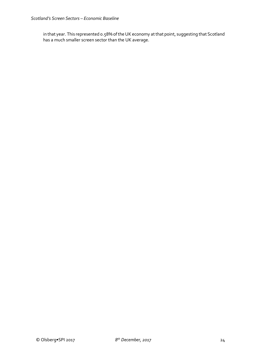in that year. This represented o.58% of the UK economy at that point, suggesting that Scotland has a much smaller screen sector than the UK average.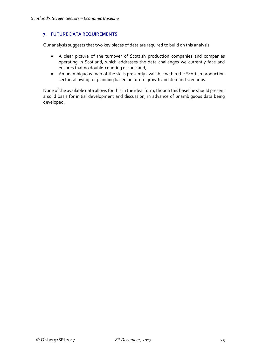#### <span id="page-26-0"></span>**7. FUTURE DATA REQUIREMENTS**

Our analysis suggests that two key pieces of data are required to build on this analysis:

- A clear picture of the turnover of Scottish production companies and companies operating in Scotland, which addresses the data challenges we currently face and ensures that no double-counting occurs; and,
- An unambiguous map of the skills presently available within the Scottish production sector, allowing for planning based on future growth and demand scenarios.

None of the available data allows for this in the ideal form, though this baseline should present a solid basis for initial development and discussion, in advance of unambiguous data being developed.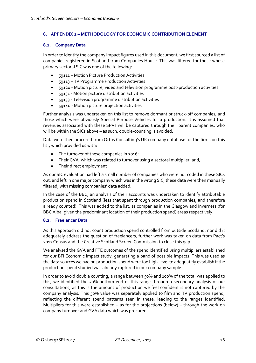#### <span id="page-27-0"></span>**8. APPENDIX 1 – METHODOLOGY FOR ECONOMIC CONTRIBUTION ELEMENT**

#### <span id="page-27-1"></span>**8.1. Company Data**

In order to identify the company impact figures used in this document, we first sourced a list of companies registered in Scotland from Companies House. This was filtered for those whose primary sectoral SIC was one of the following:

- 59111 Motion Picture Production Activities
- 59113 TV Programme Production Activities
- 59120 Motion picture, video and television programme post-production activities
- 59131 Motion picture distribution activities
- 59133 Television programme distribution activities
- 59140 Motion picture projection activities

Further analysis was undertaken on this list to remove dormant or struck-off companies, and those which were obviously Special Purpose Vehicles for a production. It is assumed that revenues associated with these SPVs will be captured through their parent companies, who will be within the SICs above – as such, double-counting is avoided.

Data were then procured from Ortus Consulting's UK company database for the firms on this list, which provided us with:

- The turnover of these companies in 2016;
- Their GVA, which was related to turnover using a sectoral multiplier; and,
- Their direct employment

As our SIC evaluation had left a small number of companies who were not coded in these SICs out, and left in one major company which was in the wrong SIC, these data were then manually filtered, with missing companies' data added.

In the case of the BBC, an analysis of their accounts was undertaken to identify attributable production spend in Scotland (less that spent through production companies, and therefore already counted). This was added to the list, as companies in the Glasgow and Inverness (for BBC Alba, given the predominant location of their production spend) areas respectively.

## <span id="page-27-2"></span>**8.2. Freelancer Data**

As this approach did not count production spend controlled from outside Scotland, nor did it adequately address the question of freelancers, further work was taken on data from Pact's 2017 Census and the Creative Scotland Screen Commission to close this gap.

We analysed the GVA and FTE outcomes of the spend identified using multipliers established for our BFI Economic Impact study, generating a band of possible impacts. This was used as the data sources we had on production spend were too high-level to adequately establish if the production spend studied was already captured in our company sample.

In order to avoid double counting, a range between 50% and 100% of the total was applied to this; we identified the 50% bottom end of this range through a secondary analysis of our consultations, as this is the amount of production we feel confident is not captured by the company analysis. This 50% value was separately applied to film and TV production spend, reflecting the different spend patterns seen in these, leading to the ranges identified. Multipliers for this were established – as for the projections (below) – through the work on company turnover and GVA data which was procured.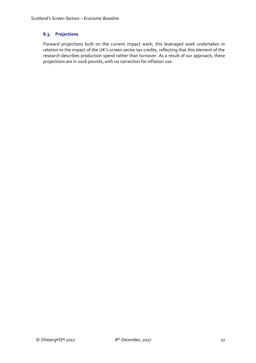# <span id="page-28-0"></span>**8.3. Projections**

Forward projections built on the current impact work; this leveraged work undertaken in relation to the impact of the UK's screen sector tax credits, reflecting that this element of the research describes production spend rather than turnover. As a result of our approach, these projections are in 2016 pounds, with no correction for inflation use.